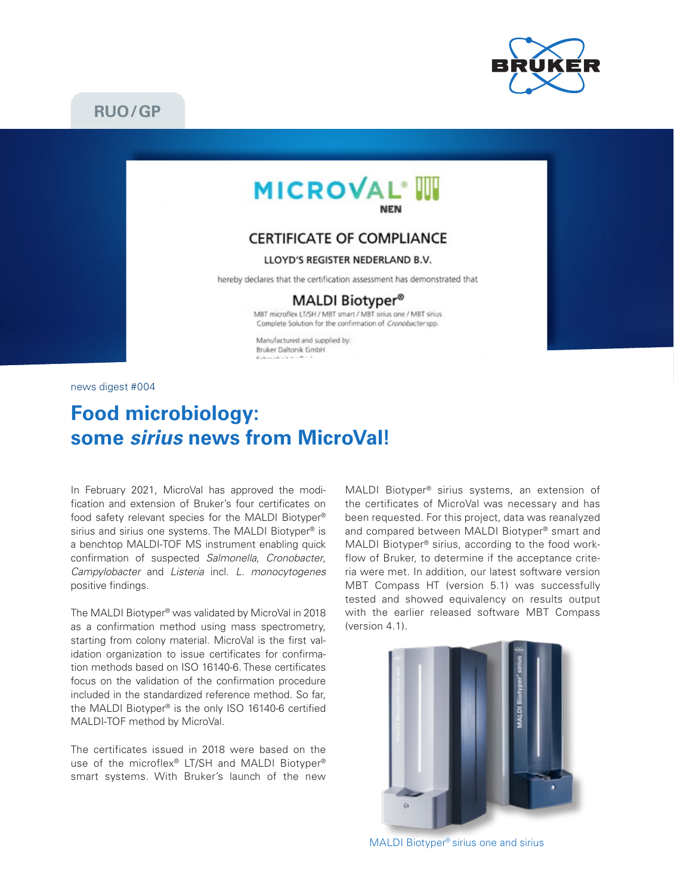

# **RUO/GP**



## **CERTIFICATE OF COMPLIANCE**

#### LLOYD'S REGISTER NEDERLAND B.V.

hereby declares that the certification assessment has demonstrated that

### MALDI Biotyper<sup>®</sup>

MBT microflex LT/SH / MBT smart / MBT sirius one / MBT sirius Complete Solution for the confirmation of Cronobacter spp.

Manufactured and supplied by: Bruker Daltonik GmbH

news digest #004

# **Food microbiology: some** *sirius* **news from MicroVal!**

In February 2021, MicroVal has approved the modification and extension of Bruker's four certificates on food safety relevant species for the MALDI Biotyper® sirius and sirius one systems. The MALDI Biotyper<sup>®</sup> is a benchtop MALDI-TOF MS instrument enabling quick confirmation of suspected *Salmonella*, *Cronobacter*, *Campylobacter* and *Listeria* incl. *L. monocytogenes* positive findings.

The MALDI Biotyper® was validated by MicroVal in 2018 as a confirmation method using mass spectrometry, starting from colony material. MicroVal is the first validation organization to issue certificates for confirmation methods based on ISO 16140-6. These certificates focus on the validation of the confirmation procedure included in the standardized reference method. So far, the MALDI Biotyper® is the only ISO 16140-6 certified MALDI-TOF method by MicroVal.

The certificates issued in 2018 were based on the use of the microflex® LT/SH and MALDI Biotyper® smart systems. With Bruker's launch of the new MALDI Biotyper® sirius systems, an extension of the certificates of MicroVal was necessary and has been requested. For this project, data was reanalyzed and compared between MALDI Biotyper® smart and MALDI Biotyper® sirius, according to the food workflow of Bruker, to determine if the acceptance criteria were met. In addition, our latest software version MBT Compass HT (version 5.1) was successfully tested and showed equivalency on results output with the earlier released software MBT Compass (version 4.1).



MALDI Biotyper<sup>®</sup> sirius one and sirius